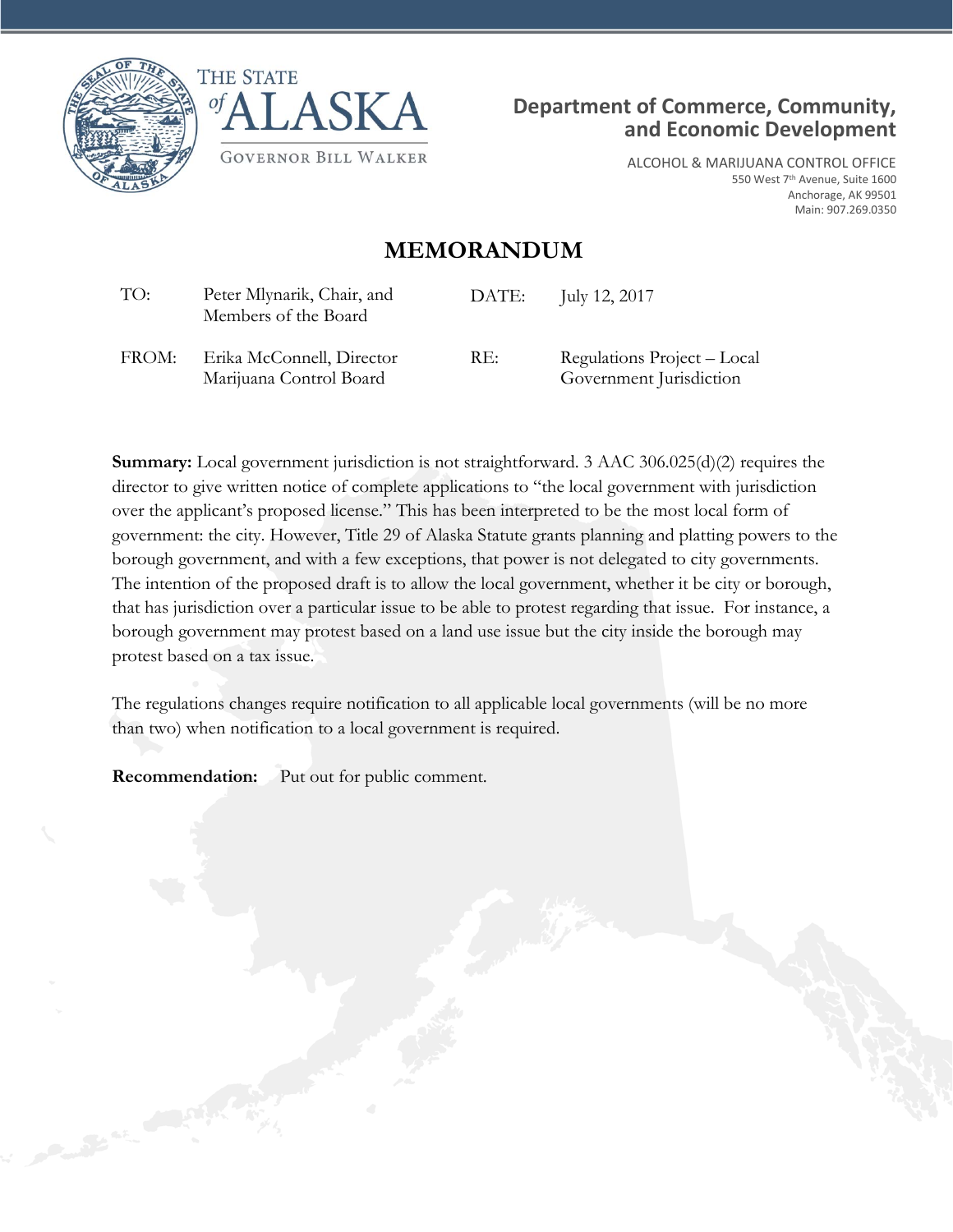





ALCOHOL & MARIJUANA CONTROL OFFICE 550 West 7th Avenue, Suite 1600 Anchorage, AK 99501 Main: 907.269.0350

## **MEMORANDUM**

| TO:   | Peter Mlynarik, Chair, and<br>Members of the Board   | DATE: | July 12, 2017                                          |
|-------|------------------------------------------------------|-------|--------------------------------------------------------|
| FROM: | Erika McConnell, Director<br>Marijuana Control Board | RE:   | Regulations Project – Local<br>Government Jurisdiction |

**Summary:** Local government jurisdiction is not straightforward. 3 AAC 306.025(d)(2) requires the director to give written notice of complete applications to "the local government with jurisdiction over the applicant's proposed license." This has been interpreted to be the most local form of government: the city. However, Title 29 of Alaska Statute grants planning and platting powers to the borough government, and with a few exceptions, that power is not delegated to city governments. The intention of the proposed draft is to allow the local government, whether it be city or borough, that has jurisdiction over a particular issue to be able to protest regarding that issue. For instance, a borough government may protest based on a land use issue but the city inside the borough may protest based on a tax issue.

The regulations changes require notification to all applicable local governments (will be no more than two) when notification to a local government is required.

**Recommendation:** Put out for public comment.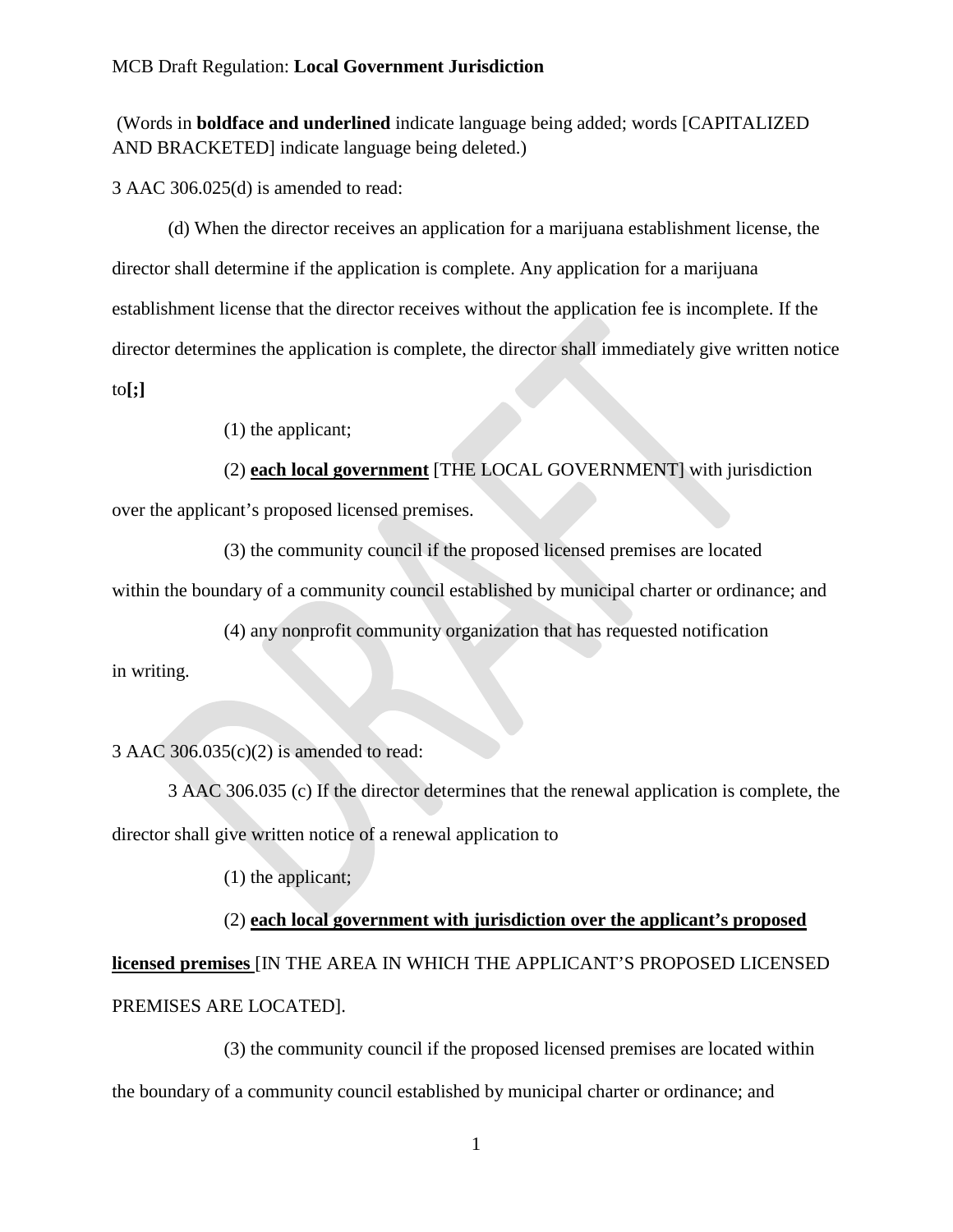## MCB Draft Regulation: **Local Government Jurisdiction**

(Words in **boldface and underlined** indicate language being added; words [CAPITALIZED AND BRACKETED] indicate language being deleted.)

3 AAC 306.025(d) is amended to read:

(d) When the director receives an application for a marijuana establishment license, the director shall determine if the application is complete. Any application for a marijuana establishment license that the director receives without the application fee is incomplete. If the director determines the application is complete, the director shall immediately give written notice to**[;]**

(1) the applicant;

(2) **each local government** [THE LOCAL GOVERNMENT] with jurisdiction over the applicant's proposed licensed premises.

(3) the community council if the proposed licensed premises are located within the boundary of a community council established by municipal charter or ordinance; and

(4) any nonprofit community organization that has requested notification in writing.

3 AAC 306.035(c)(2) is amended to read:

3 AAC 306.035 (c) If the director determines that the renewal application is complete, the director shall give written notice of a renewal application to

(1) the applicant;

(2) **each local government with jurisdiction over the applicant's proposed licensed premises** [IN THE AREA IN WHICH THE APPLICANT'S PROPOSED LICENSED PREMISES ARE LOCATED].

(3) the community council if the proposed licensed premises are located within the boundary of a community council established by municipal charter or ordinance; and